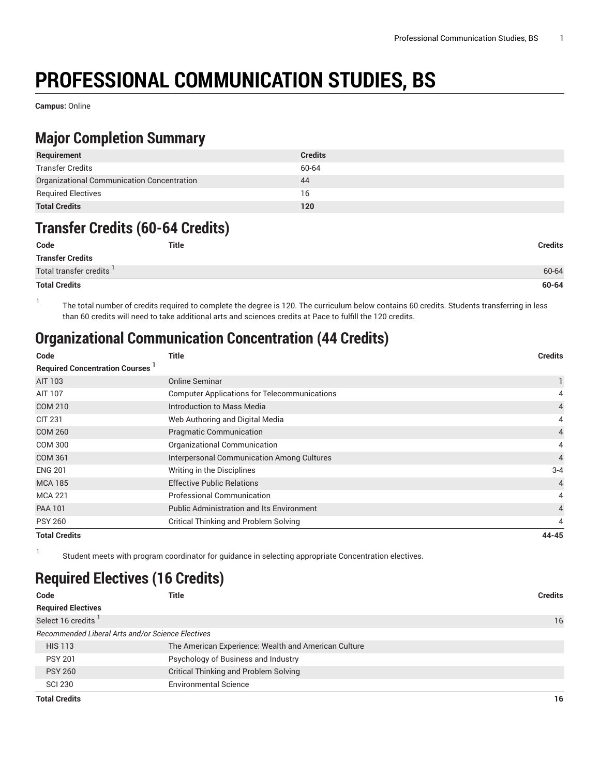# **PROFESSIONAL COMMUNICATION STUDIES, BS**

**Campus:** Online

## **Major Completion Summary**

| Requirement                                | <b>Credits</b> |
|--------------------------------------------|----------------|
| Transfer Credits                           | 60-64          |
| Organizational Communication Concentration | 44             |
| <b>Required Electives</b>                  | 16             |
| <b>Total Credits</b>                       | 120            |

#### **Transfer Credits (60-64 Credits)**

| Code                     | <b>Title</b> | <b>Credits</b> |
|--------------------------|--------------|----------------|
| <b>Transfer Credits</b>  |              |                |
| Total transfer credits ' |              | 60-64          |
| <b>Total Credits</b>     |              | 60-64          |

1 The total number of credits required to complete the degree is 120. The curriculum below contains 60 credits. Students transferring in less than 60 credits will need to take additional arts and sciences credits at Pace to fulfill the 120 credits.

## **Organizational Communication Concentration (44 Credits)**

| Code                                  | <b>Title</b>                                        | <b>Credits</b> |
|---------------------------------------|-----------------------------------------------------|----------------|
| <b>Required Concentration Courses</b> |                                                     |                |
| AIT 103                               | <b>Online Seminar</b>                               |                |
| AIT 107                               | <b>Computer Applications for Telecommunications</b> | 4              |
| <b>COM 210</b>                        | Introduction to Mass Media                          | 4              |
| <b>CIT 231</b>                        | Web Authoring and Digital Media                     | 4              |
| <b>COM 260</b>                        | <b>Pragmatic Communication</b>                      | $\overline{4}$ |
| <b>COM 300</b>                        | Organizational Communication                        | 4              |
| <b>COM 361</b>                        | Interpersonal Communication Among Cultures          | $\overline{4}$ |
| <b>ENG 201</b>                        | Writing in the Disciplines                          | $3 - 4$        |
| <b>MCA 185</b>                        | <b>Effective Public Relations</b>                   | $\overline{4}$ |
| <b>MCA 221</b>                        | <b>Professional Communication</b>                   | 4              |
| <b>PAA 101</b>                        | <b>Public Administration and Its Environment</b>    | 4              |
| <b>PSY 260</b>                        | Critical Thinking and Problem Solving               | 4              |
| <b>Total Credits</b>                  |                                                     | 44-45          |

1

Student meets with program coordinator for guidance in selecting appropriate Concentration electives.

### **Required Electives (16 Credits)**

| Code                           | Title                                                | <b>Credits</b> |
|--------------------------------|------------------------------------------------------|----------------|
| <b>Required Electives</b>      |                                                      |                |
| Select 16 credits <sup>1</sup> |                                                      | 16             |
|                                | Recommended Liberal Arts and/or Science Electives    |                |
| <b>HIS 113</b>                 | The American Experience: Wealth and American Culture |                |
| <b>PSY 201</b>                 | Psychology of Business and Industry                  |                |
| <b>PSY 260</b>                 | <b>Critical Thinking and Problem Solving</b>         |                |
| <b>SCI 230</b>                 | <b>Environmental Science</b>                         |                |
| <b>Total Credits</b>           |                                                      | 16             |